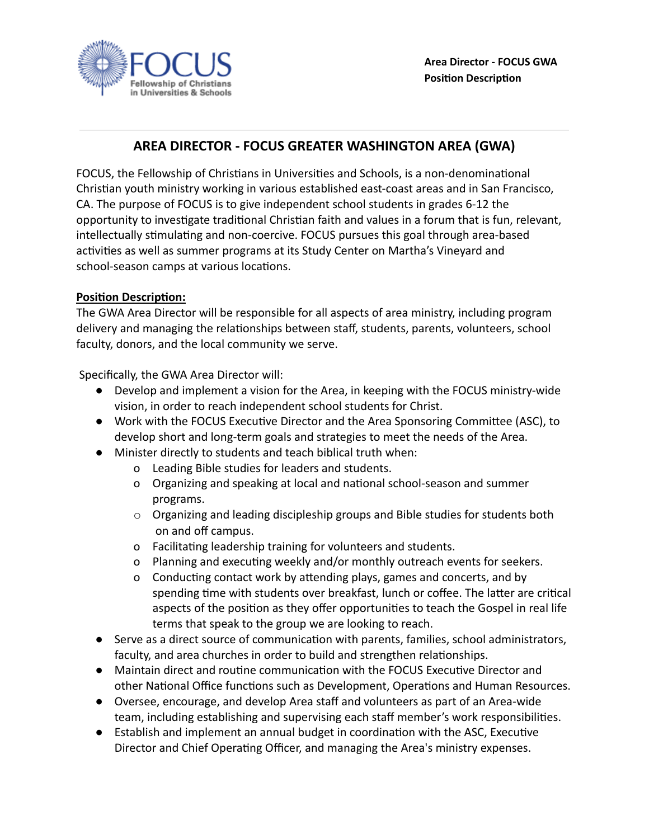

## **AREA DIRECTOR - FOCUS GREATER WASHINGTON AREA (GWA)**

FOCUS, the Fellowship of Christians in Universities and Schools, is a non-denominational Christian youth ministry working in various established east-coast areas and in San Francisco, CA. The purpose of FOCUS is to give independent school students in grades 6-12 the opportunity to investigate traditional Christian faith and values in a forum that is fun, relevant, intellectually stimulating and non-coercive. FOCUS pursues this goal through area-based activities as well as summer programs at its Study Center on Martha's Vineyard and school-season camps at various locations.

## **Position Description:**

The GWA Area Director will be responsible for all aspects of area ministry, including program delivery and managing the relationships between staff, students, parents, volunteers, school faculty, donors, and the local community we serve.

Specifically, the GWA Area Director will:

- Develop and implement a vision for the Area, in keeping with the FOCUS ministry-wide vision, in order to reach independent school students for Christ.
- Work with the FOCUS Executive Director and the Area Sponsoring Committee (ASC), to develop short and long-term goals and strategies to meet the needs of the Area.
- Minister directly to students and teach biblical truth when:
	- o Leading Bible studies for leaders and students.
	- o Organizing and speaking at local and national school-season and summer programs.
	- $\circ$  Organizing and leading discipleship groups and Bible studies for students both on and off campus.
	- o Facilitating leadership training for volunteers and students.
	- o Planning and executing weekly and/or monthly outreach events for seekers.
	- o Conducting contact work by attending plays, games and concerts, and by spending time with students over breakfast, lunch or coffee. The latter are critical aspects of the position as they offer opportunities to teach the Gospel in real life terms that speak to the group we are looking to reach.
- Serve as a direct source of communication with parents, families, school administrators, faculty, and area churches in order to build and strengthen relationships.
- Maintain direct and routine communication with the FOCUS Executive Director and other National Office functions such as Development, Operations and Human Resources.
- Oversee, encourage, and develop Area staff and volunteers as part of an Area-wide team, including establishing and supervising each staff member's work responsibilities.
- Establish and implement an annual budget in coordination with the ASC, Executive Director and Chief Operating Officer, and managing the Area's ministry expenses.